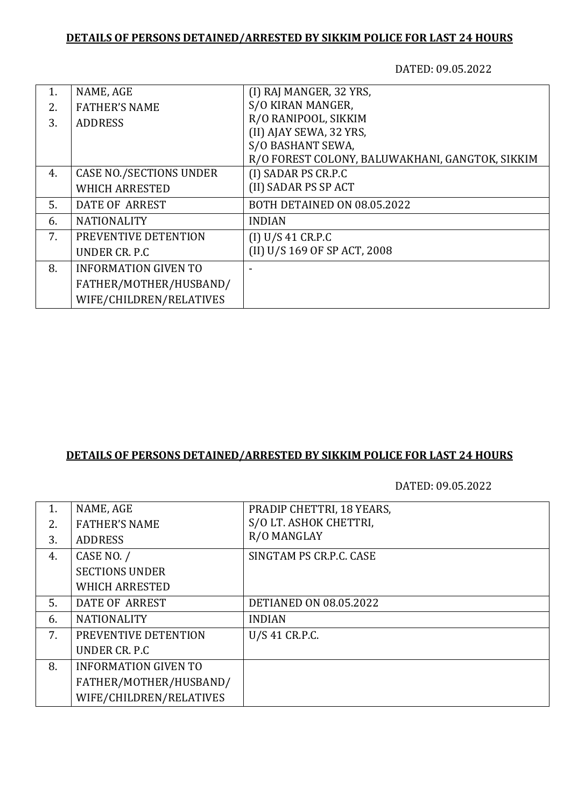## **DETAILS OF PERSONS DETAINED/ARRESTED BY SIKKIM POLICE FOR LAST 24 HOURS**

DATED: 09.05.2022

| NAME, AGE                      | (I) RAJ MANGER, 32 YRS,                         |
|--------------------------------|-------------------------------------------------|
| <b>FATHER'S NAME</b>           | S/O KIRAN MANGER,                               |
|                                | R/O RANIPOOL, SIKKIM                            |
|                                | (II) AJAY SEWA, 32 YRS,                         |
|                                | S/O BASHANT SEWA,                               |
|                                | R/O FOREST COLONY, BALUWAKHANI, GANGTOK, SIKKIM |
| <b>CASE NO./SECTIONS UNDER</b> | (I) SADAR PS CR.P.C                             |
| <b>WHICH ARRESTED</b>          | (II) SADAR PS SP ACT                            |
| DATE OF ARREST                 | BOTH DETAINED ON 08.05.2022                     |
| <b>NATIONALITY</b>             | <b>INDIAN</b>                                   |
| PREVENTIVE DETENTION           | (I) U/S 41 CR.P.C                               |
| UNDER CR. P.C.                 | (II) U/S 169 OF SP ACT, 2008                    |
| <b>INFORMATION GIVEN TO</b>    |                                                 |
| FATHER/MOTHER/HUSBAND/         |                                                 |
| WIFE/CHILDREN/RELATIVES        |                                                 |
|                                | <b>ADDRESS</b>                                  |

## **DETAILS OF PERSONS DETAINED/ARRESTED BY SIKKIM POLICE FOR LAST 24 HOURS**

DATED: 09.05.2022

| 1. | NAME, AGE                   | PRADIP CHETTRI, 18 YEARS,     |
|----|-----------------------------|-------------------------------|
| 2. | <b>FATHER'S NAME</b>        | S/O LT. ASHOK CHETTRI,        |
| 3. | <b>ADDRESS</b>              | R/O MANGLAY                   |
| 4. | CASE NO. /                  | SINGTAM PS CR.P.C. CASE       |
|    | <b>SECTIONS UNDER</b>       |                               |
|    | <b>WHICH ARRESTED</b>       |                               |
| 5. | DATE OF ARREST              | <b>DETIANED ON 08.05.2022</b> |
| 6. | <b>NATIONALITY</b>          | <b>INDIAN</b>                 |
| 7. | PREVENTIVE DETENTION        | U/S 41 CR.P.C.                |
|    | UNDER CR. P.C.              |                               |
| 8. | <b>INFORMATION GIVEN TO</b> |                               |
|    | FATHER/MOTHER/HUSBAND/      |                               |
|    | WIFE/CHILDREN/RELATIVES     |                               |
|    |                             |                               |